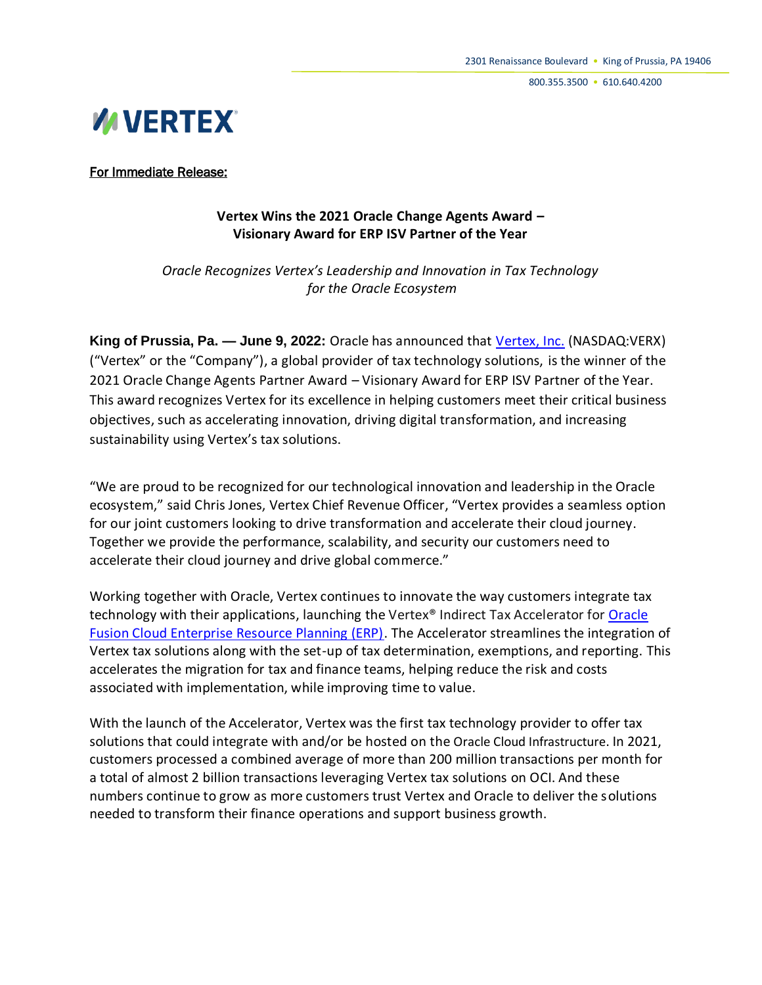800.355.3500 • 610.640.4200



For Immediate Release:

# **Vertex Wins the 2021 Oracle Change Agents Award – Visionary Award for ERP ISV Partner of the Year**

*Oracle Recognizes Vertex's Leadership and Innovation in Tax Technology for the Oracle Ecosystem*

**King of Prussia, Pa. — June 9, 2022:** Oracle has announced that [Vertex, Inc.](https://www.vertexinc.com/company/about-us/?utm_source=press_release&utm_medium=web_wire&utm_campaign=2022PressReleases) (NASDAQ:VERX) ("Vertex" or the "Company"), a global provider of tax technology solutions, is the winner of the 2021 Oracle Change Agents Partner Award – Visionary Award for ERP ISV Partner of the Year. This award recognizes Vertex for its excellence in helping customers meet their critical business objectives, such as accelerating innovation, driving digital transformation, and increasing sustainability using Vertex's tax solutions.

"We are proud to be recognized for our technological innovation and leadership in the Oracle ecosystem," said Chris Jones, Vertex Chief Revenue Officer, "Vertex provides a seamless option for our joint customers looking to drive transformation and accelerate their cloud journey. Together we provide the performance, scalability, and security our customers need to accelerate their cloud journey and drive global commerce."

Working together with Oracle, Vertex continues to innovate the way customers integrate tax technology with their applications, launching the Vertex® Indirect Tax Accelerator for [Oracle](https://www.oracle.com/erp/)  [Fusion Cloud Enterprise Resource Planning \(ERP\).](https://www.oracle.com/erp/) The Accelerator streamlines the integration of Vertex tax solutions along with the set-up of tax determination, exemptions, and reporting. This accelerates the migration for tax and finance teams, helping reduce the risk and costs associated with implementation, while improving time to value.

With the launch of the Accelerator, Vertex was the first tax technology provider to offer tax solutions that could integrate with and/or be hosted on the Oracle Cloud Infrastructure. In 2021, customers processed a combined average of more than 200 million transactions per month for a total of almost 2 billion transactions leveraging Vertex tax solutions on OCI. And these numbers continue to grow as more customers trust Vertex and Oracle to deliver the solutions needed to transform their finance operations and support business growth.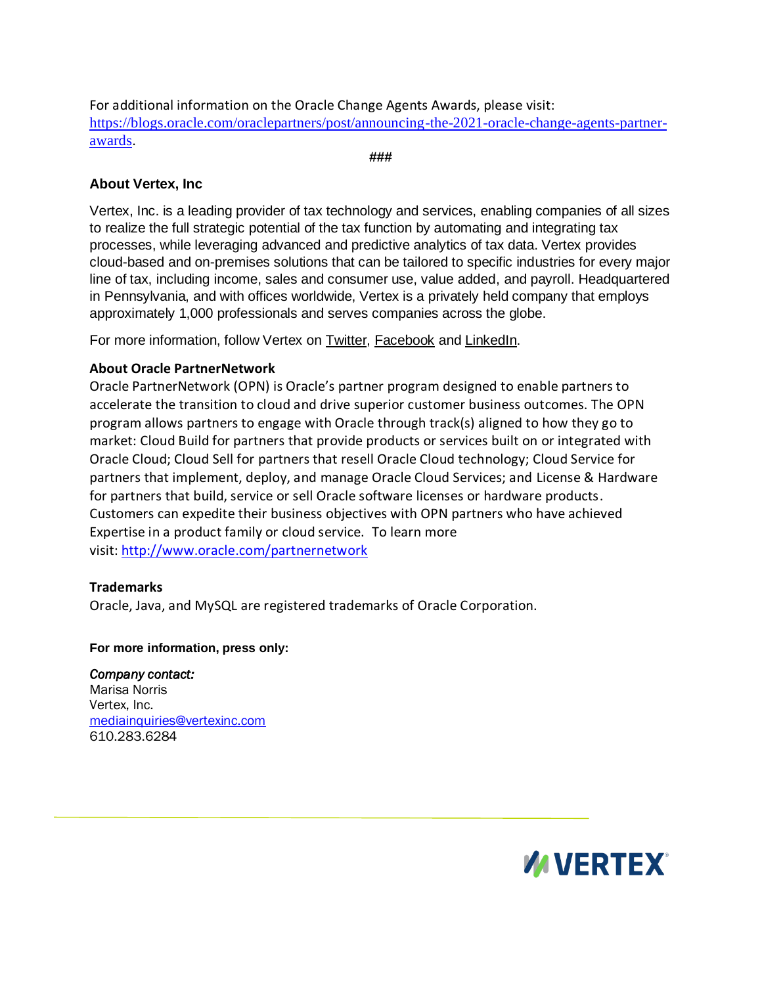For additional information on the Oracle Change Agents Awards, please visit: [https://blogs.oracle.com/oraclepartners/post/announcing-the-2021-oracle-change-agents-partner](https://blogs.oracle.com/oraclepartners/post/announcing-the-2021-oracle-change-agents-partner-awards)[awards](https://blogs.oracle.com/oraclepartners/post/announcing-the-2021-oracle-change-agents-partner-awards).

**###**

# **About Vertex, Inc**

Vertex, Inc. is a leading provider of tax technology and services, enabling companies of all sizes to realize the full strategic potential of the tax function by automating and integrating tax processes, while leveraging advanced and predictive analytics of tax data. Vertex provides cloud-based and on-premises solutions that can be tailored to specific industries for every major line of tax, including income, sales and consumer use, value added, and payroll. Headquartered in Pennsylvania, and with offices worldwide, Vertex is a privately held company that employs approximately 1,000 professionals and serves companies across the globe.

For more information, follow Vertex on [Twitter,](https://twitter.com/vertexinc) [Facebook](https://www.facebook.com/vertexinc1/) and [LinkedIn.](https://www.linkedin.com/company/vertex-inc./?viewAsMember=true)

## **About Oracle PartnerNetwork**

Oracle PartnerNetwork (OPN) is Oracle's partner program designed to enable partners to accelerate the transition to cloud and drive superior customer business outcomes. The OPN program allows partners to engage with Oracle through track(s) aligned to how they go to market: Cloud Build for partners that provide products or services built on or integrated with Oracle Cloud; Cloud Sell for partners that resell Oracle Cloud technology; Cloud Service for partners that implement, deploy, and manage Oracle Cloud Services; and License & Hardware for partners that build, service or sell Oracle software licenses or hardware products. Customers can expedite their business objectives with OPN partners who have achieved Expertise in a product family or cloud service. To learn more visit: <http://www.oracle.com/partnernetwork>

#### **Trademarks**

Oracle, Java, and MySQL are registered trademarks of Oracle Corporation.

#### **For more information, press only:**

*Company contact:*  Marisa Norris Vertex, Inc. [mediainquiries@vertexinc.com](mailto:mediainquiries@vertexinc.com) 610.283.6284